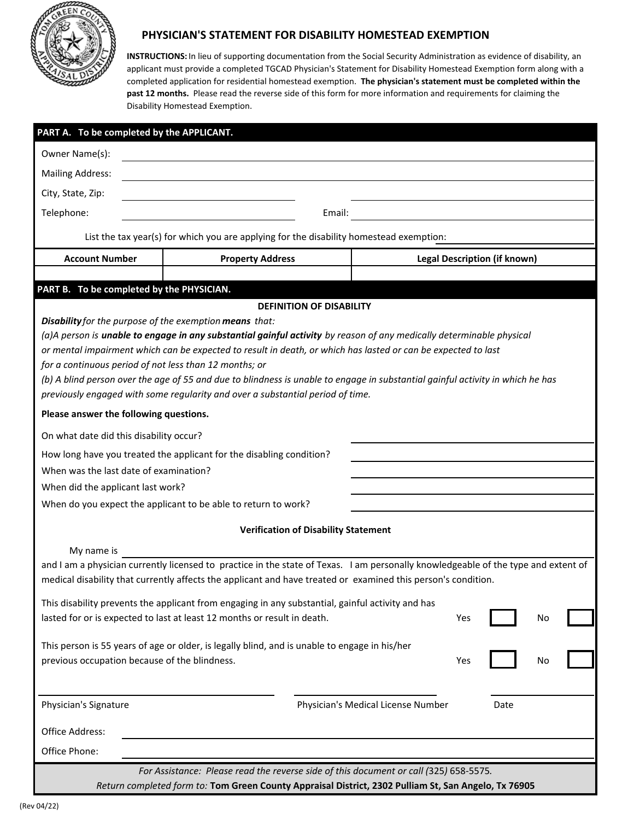

# **PHYSICIAN'S STATEMENT FOR DISABILITY HOMESTEAD EXEMPTION**

**INSTRUCTIONS:** In lieu of supporting documentation from the Social Security Administration as evidence of disability, an applicant must provide a completed TGCAD Physician's Statement for Disability Homestead Exemption form along with a completed application for residential homestead exemption. **The physician's statement must be completed within the past 12 months.** Please read the reverse side of this form for more information and requirements for claiming the Disability Homestead Exemption.

| PART A. To be completed by the APPLICANT.                                                                                                                                                                                                                                                                                                                                                                                                                                                                                                                                                                                                                                                                                                                                                                                                                                                    |                         |                                     |      |
|----------------------------------------------------------------------------------------------------------------------------------------------------------------------------------------------------------------------------------------------------------------------------------------------------------------------------------------------------------------------------------------------------------------------------------------------------------------------------------------------------------------------------------------------------------------------------------------------------------------------------------------------------------------------------------------------------------------------------------------------------------------------------------------------------------------------------------------------------------------------------------------------|-------------------------|-------------------------------------|------|
| Owner Name(s):                                                                                                                                                                                                                                                                                                                                                                                                                                                                                                                                                                                                                                                                                                                                                                                                                                                                               |                         |                                     |      |
| <b>Mailing Address:</b>                                                                                                                                                                                                                                                                                                                                                                                                                                                                                                                                                                                                                                                                                                                                                                                                                                                                      |                         |                                     |      |
| City, State, Zip:                                                                                                                                                                                                                                                                                                                                                                                                                                                                                                                                                                                                                                                                                                                                                                                                                                                                            |                         |                                     |      |
| Telephone:<br>Email:                                                                                                                                                                                                                                                                                                                                                                                                                                                                                                                                                                                                                                                                                                                                                                                                                                                                         |                         |                                     |      |
| List the tax year(s) for which you are applying for the disability homestead exemption:                                                                                                                                                                                                                                                                                                                                                                                                                                                                                                                                                                                                                                                                                                                                                                                                      |                         |                                     |      |
| <b>Account Number</b>                                                                                                                                                                                                                                                                                                                                                                                                                                                                                                                                                                                                                                                                                                                                                                                                                                                                        | <b>Property Address</b> | <b>Legal Description (if known)</b> |      |
|                                                                                                                                                                                                                                                                                                                                                                                                                                                                                                                                                                                                                                                                                                                                                                                                                                                                                              |                         |                                     |      |
| PART B. To be completed by the PHYSICIAN.<br><b>DEFINITION OF DISABILITY</b>                                                                                                                                                                                                                                                                                                                                                                                                                                                                                                                                                                                                                                                                                                                                                                                                                 |                         |                                     |      |
| Disability for the purpose of the exemption means that:<br>(a)A person is unable to engage in any substantial gainful activity by reason of any medically determinable physical<br>or mental impairment which can be expected to result in death, or which has lasted or can be expected to last<br>for a continuous period of not less than 12 months; or<br>(b) A blind person over the age of 55 and due to blindness is unable to engage in substantial gainful activity in which he has<br>previously engaged with some regularity and over a substantial period of time.<br>Please answer the following questions.<br>On what date did this disability occur?<br>How long have you treated the applicant for the disabling condition?<br>When was the last date of examination?<br>When did the applicant last work?<br>When do you expect the applicant to be able to return to work? |                         |                                     |      |
| <b>Verification of Disability Statement</b>                                                                                                                                                                                                                                                                                                                                                                                                                                                                                                                                                                                                                                                                                                                                                                                                                                                  |                         |                                     |      |
| My name is<br>and I am a physician currently licensed to practice in the state of Texas. I am personally knowledgeable of the type and extent of<br>medical disability that currently affects the applicant and have treated or examined this person's condition.<br>This disability prevents the applicant from engaging in any substantial, gainful activity and has<br>lasted for or is expected to last at least 12 months or result in death.<br>Yes<br>No<br>This person is 55 years of age or older, is legally blind, and is unable to engage in his/her<br>previous occupation because of the blindness.                                                                                                                                                                                                                                                                            |                         |                                     |      |
|                                                                                                                                                                                                                                                                                                                                                                                                                                                                                                                                                                                                                                                                                                                                                                                                                                                                                              |                         | Yes                                 | No   |
| Physician's Signature                                                                                                                                                                                                                                                                                                                                                                                                                                                                                                                                                                                                                                                                                                                                                                                                                                                                        |                         | Physician's Medical License Number  | Date |
| Office Address:                                                                                                                                                                                                                                                                                                                                                                                                                                                                                                                                                                                                                                                                                                                                                                                                                                                                              |                         |                                     |      |
| Office Phone:                                                                                                                                                                                                                                                                                                                                                                                                                                                                                                                                                                                                                                                                                                                                                                                                                                                                                |                         |                                     |      |
| For Assistance: Please read the reverse side of this document or call (325) 658-5575.<br>Return completed form to: Tom Green County Appraisal District, 2302 Pulliam St, San Angelo, Tx 76905                                                                                                                                                                                                                                                                                                                                                                                                                                                                                                                                                                                                                                                                                                |                         |                                     |      |